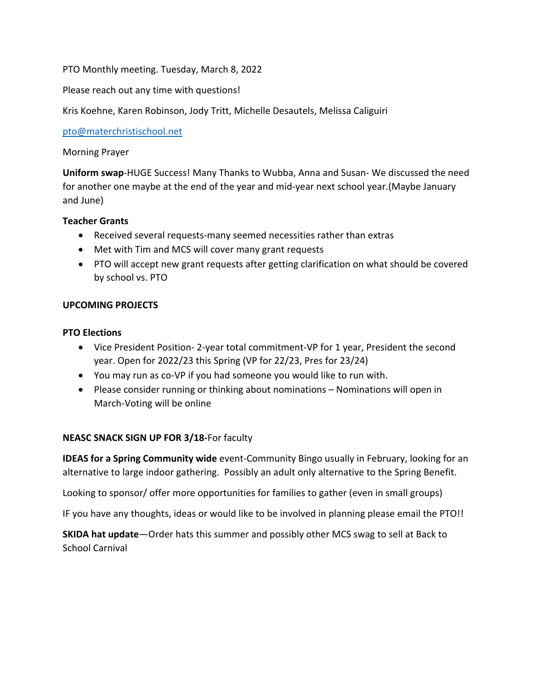### PTO Monthly meeting. Tuesday, March 8, 2022

Please reach out any time with questions!

Kris Koehne, Karen Robinson, Jody Tritt, Michelle Desautels, Melissa Caliguiri

pto@materchristischool.net

#### Morning Prayer

**Uniform swap**-HUGE Success! Many Thanks to Wubba, Anna and Susan- We discussed the need for another one maybe at the end of the year and mid-year next school year.(Maybe January and June)

#### **Teacher Grants**

- Received several requests-many seemed necessities rather than extras
- Met with Tim and MCS will cover many grant requests
- PTO will accept new grant requests after getting clarification on what should be covered by school vs. PTO

# **UPCOMING PROJECTS**

#### **PTO Elections**

- Vice President Position- 2-year total commitment-VP for 1 year, President the second year. Open for 2022/23 this Spring (VP for 22/23, Pres for 23/24)
- You may run as co-VP if you had someone you would like to run with.
- Please consider running or thinking about nominations Nominations will open in March-Voting will be online

# **NEASC SNACK SIGN UP FOR 3/18-**For faculty

**IDEAS for a Spring Community wide** event-Community Bingo usually in February, looking for an alternative to large indoor gathering. Possibly an adult only alternative to the Spring Benefit.

Looking to sponsor/ offer more opportunities for families to gather (even in small groups)

IF you have any thoughts, ideas or would like to be involved in planning please email the PTO!!

**SKIDA hat update**—Order hats this summer and possibly other MCS swag to sell at Back to School Carnival